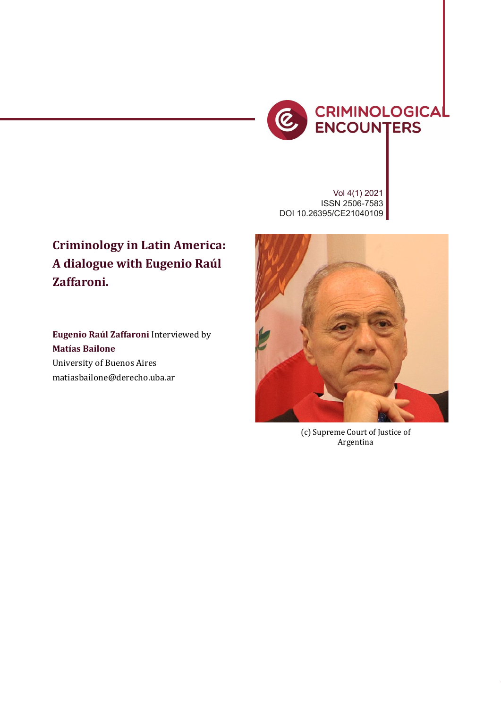

Vol 4(1) 2021 ISSN 2506-7583 DOI 10.26395/CE21040109

## **Criminology in Latin America: A dialogue with Eugenio Raúl Zaffaroni.**

**Eugenio Raúl Zaffaroni** Interviewed by **Matías Bailone** University of Buenos Aires matiasbailone@derecho.uba.ar



(c) Supreme Court of Justice of Argentina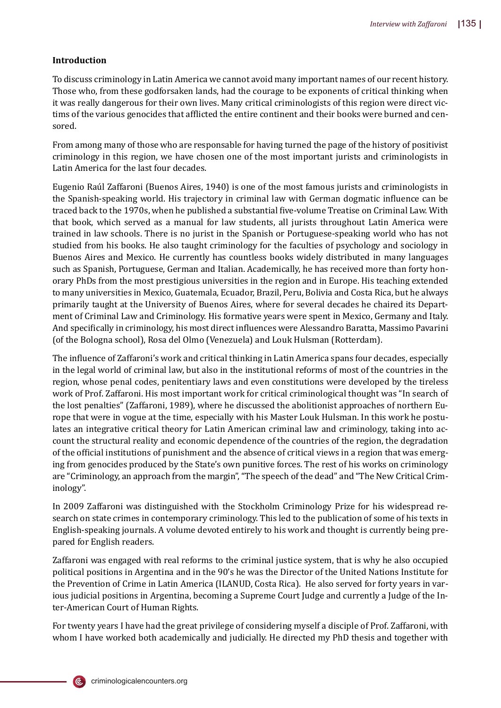## **Introduction**

To discuss criminology in Latin America we cannot avoid many important names of our recent history. Those who, from these godforsaken lands, had the courage to be exponents of critical thinking when it was really dangerous for their own lives. Many critical criminologists of this region were direct victims of the various genocides that afflicted the entire continent and their books were burned and censored.

From among many of those who are responsable for having turned the page of the history of positivist criminology in this region, we have chosen one of the most important jurists and criminologists in Latin America for the last four decades.

Eugenio Raúl Zaffaroni (Buenos Aires, 1940) is one of the most famous jurists and criminologists in the Spanish-speaking world. His trajectory in criminal law with German dogmatic influence can be traced back to the 1970s, when he published a substantial �ive-volume Treatise on Criminal Law. With that book, which served as a manual for law students, all jurists throughout Latin America were trained in law schools. There is no jurist in the Spanish or Portuguese-speaking world who has not studied from his books. He also taught criminology for the faculties of psychology and sociology in Buenos Aires and Mexico. He currently has countless books widely distributed in many languages such as Spanish, Portuguese, German and Italian. Academically, he has received more than forty honorary PhDs from the most prestigious universities in the region and in Europe. His teaching extended to many universities in Mexico, Guatemala, Ecuador, Brazil, Peru, Bolivia and Costa Rica, but he always primarily taught at the University of Buenos Aires, where for several decades he chaired its Department of Criminal Law and Criminology. His formative years were spent in Mexico, Germany and Italy. And specifically in criminology, his most direct influences were Alessandro Baratta, Massimo Pavarini (of the Bologna school), Rosa del Olmo (Venezuela) and Louk Hulsman (Rotterdam).

The influence of Zaffaroni's work and critical thinking in Latin America spans four decades, especially in the legal world of criminal law, but also in the institutional reforms of most of the countries in the region, whose penal codes, penitentiary laws and even constitutions were developed by the tireless work of Prof. Zaffaroni. His most important work for critical criminological thought was "In search of the lost penalties" (Zaffaroni, 1989), where he discussed the abolitionist approaches of northern Europe that were in vogue at the time, especially with his Master Louk Hulsman. In this work he postulates an integrative critical theory for Latin American criminal law and criminology, taking into account the structural reality and economic dependence of the countries of the region, the degradation of the of�icial institutions of punishment and the absence of critical views in a region that was emerging from genocides produced by the State's own punitive forces. The rest of his works on criminology are "Criminology, an approach from the margin", "The speech of the dead" and "The New Critical Criminology".

In 2009 Zaffaroni was distinguished with the Stockholm Criminology Prize for his widespread research on state crimes in contemporary criminology. This led to the publication of some of his texts in English-speaking journals. A volume devoted entirely to his work and thought is currently being prepared for English readers.

Zaffaroni was engaged with real reforms to the criminal justice system, that is why he also occupied political positions in Argentina and in the 90's he was the Director of the United Nations Institute for the Prevention of Crime in Latin America (ILANUD, Costa Rica). He also served for forty years in various judicial positions in Argentina, becoming a Supreme Court Judge and currently a Judge of the Inter-American Court of Human Rights.

For twenty years I have had the great privilege of considering myself a disciple of Prof. Zaffaroni, with whom I have worked both academically and judicially. He directed my PhD thesis and together with

criminologicalencounters.org

(Ē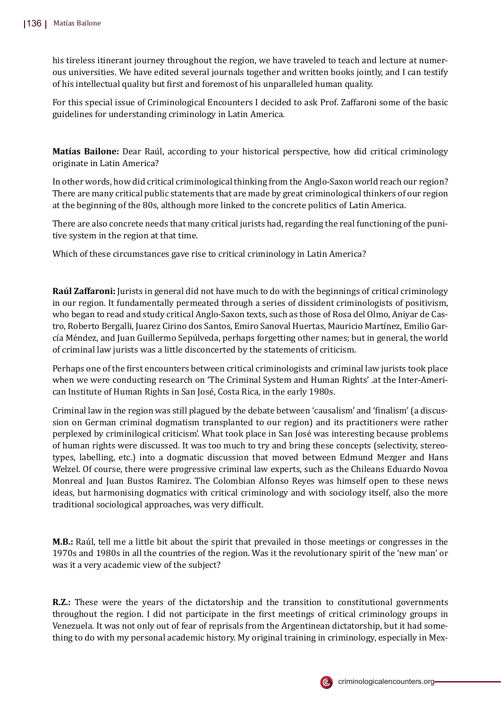his tireless itinerant journey throughout the region, we have traveled to teach and lecture at numerous universities. We have edited several journals together and written books jointly, and I can testify of his intellectual quality but �irst and foremost of his unparalleled human quality.

For this special issue of Criminological Encounters I decided to ask Prof. Zaffaroni some of the basic guidelines for understanding criminology in Latin America.

**Matías Bailone:** Dear Raúl, according to your historical perspective, how did critical criminology originate in Latin America?

In other words, how did critical criminological thinking from the Anglo-Saxon world reach our region? There are many critical public statements that are made by great criminological thinkers of our region at the beginning of the 80s, although more linked to the concrete politics of Latin America.

There are also concrete needs that many critical jurists had, regarding the real functioning of the punitive system in the region at that time.

Which of these circumstances gave rise to critical criminology in Latin America?

**Raúl Zaffaroni:** Jurists in general did not have much to do with the beginnings of critical criminology in our region. It fundamentally permeated through a series of dissident criminologists of positivism, who began to read and study critical Anglo-Saxon texts, such as those of Rosa del Olmo, Aniyar de Castro, Roberto Bergalli, Juarez Cirino dos Santos, Emiro Sanoval Huertas, Mauricio Martínez, Emilio García Méndez, and Juan Guillermo Sepúlveda, perhaps forgetting other names; but in general, the world of criminal law jurists was a little disconcerted by the statements of criticism.

Perhaps one of the �irst encounters between critical criminologists and criminal law jurists took place when we were conducting research on 'The Criminal System and Human Rights' .at the Inter-American Institute of Human Rights in San José, Costa Rica, in the early 1980s.

Criminal law in the region was still plagued by the debate between 'causalism' and '�inalism' (a discussion on German criminal dogmatism transplanted to our region) and its practitioners were rather perplexed by criminilogical criticism'. What took place in San José was interesting because problems of human rights were discussed. It was too much to try and bring these concepts (selectivity, stereotypes, labelling, etc.) into a dogmatic discussion that moved between Edmund Mezger and Hans Welzel. Of course, there were progressive criminal law experts, such as the Chileans Eduardo Novoa Monreal and Juan Bustos Ramirez. The Colombian Alfonso Reyes was himself open to these news ideas, but harmonising dogmatics with critical criminology and with sociology itself, also the more traditional sociological approaches, was very difficult.

**M.B.:** Raúl, tell me a little bit about the spirit that prevailed in those meetings or congresses in the 1970s and 1980s in all the countries of the region. Was it the revolutionary spirit of the 'new man' or was it a very academic view of the subject?

**R.Z.:** These were the years of the dictatorship and the transition to constitutional governments throughout the region. I did not participate in the �irst meetings of critical criminology groups in Venezuela. It was not only out of fear of reprisals from the Argentinean dictatorship, but it had something to do with my personal academic history. My original training in criminology, especially in Mex-

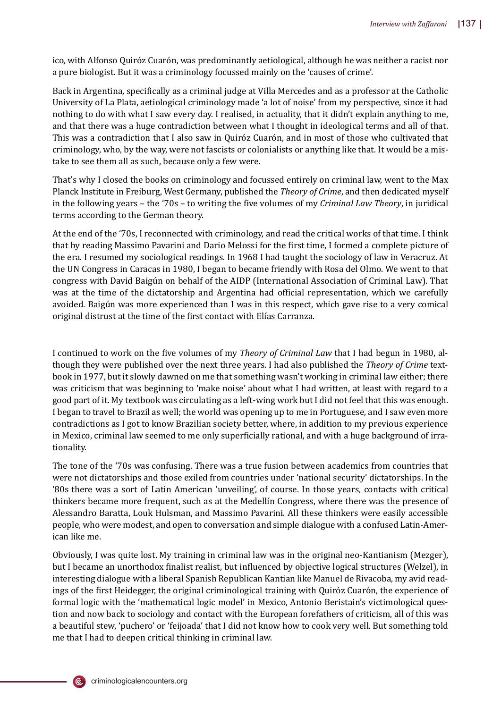ico, with Alfonso Quiróz Cuarón, was predominantly aetiological, although he was neither a racist nor a pure biologist. But it was a criminology focussed mainly on the 'causes of crime'.

Back in Argentina, speci�ically as a criminal judge at Villa Mercedes and as a professor at the Catholic University of La Plata, aetiological criminology made 'a lot of noise' from my perspective, since it had nothing to do with what I saw every day. I realised, in actuality, that it didn't explain anything to me, and that there was a huge contradiction between what I thought in ideological terms and all of that. This was a contradiction that I also saw in Quiróz Cuarón, and in most of those who cultivated that criminology, who, by the way, were not fascists or colonialists or anything like that. It would be a mistake to see them all as such, because only a few were.

That's why I closed the books on criminology and focussed entirely on criminal law, went to the Max Planck Institute in Freiburg, West Germany, published the *Theory of Crime*, and then dedicated myself in the following years – the '70s – to writing the �ive volumes of my *Criminal Law Theory*, in juridical terms according to the German theory.

At the end of the '70s, I reconnected with criminology, and read the critical works of that time. I think that by reading Massimo Pavarini and Dario Melossi for the first time, I formed a complete picture of the era. I resumed my sociological readings. In 1968 I had taught the sociology of law in Veracruz. At the UN Congress in Caracas in 1980, I began to became friendly with Rosa del Olmo. We went to that congress with David Baigún on behalf of the AIDP (International Association of Criminal Law). That was at the time of the dictatorship and Argentina had official representation, which we carefully avoided. Baigún was more experienced than I was in this respect, which gave rise to a very comical original distrust at the time of the first contact with Elías Carranza.

I continued to work on the �ive volumes of my *Theory of Criminal Law* that I had begun in 1980, although they were published over the next three years. I had also published the *Theory of Crime* textbook in 1977, but it slowly dawned on me that something wasn't working in criminal law either; there was criticism that was beginning to 'make noise' about what I had written, at least with regard to a good part of it. My textbook was circulating as a left-wing work but I did not feel that this was enough. I began to travel to Brazil as well; the world was opening up to me in Portuguese, and I saw even more contradictions as I got to know Brazilian society better, where, in addition to my previous experience in Mexico, criminal law seemed to me only superficially rational, and with a huge background of irrationality.

The tone of the '70s was confusing. There was a true fusion between academics from countries that were not dictatorships and those exiled from countries under 'national security' dictatorships. In the '80s there was a sort of Latin American 'unveiling', of course. In those years, contacts with critical thinkers became more frequent, such as at the Medellı́n Congress, where there was the presence of Alessandro Baratta, Louk Hulsman, and Massimo Pavarini. All these thinkers were easily accessible people, who were modest, and open to conversation and simple dialogue with a confused Latin-American like me.

Obviously, I was quite lost. My training in criminal law was in the original neo-Kantianism (Mezger), but I became an unorthodox finalist realist, but influenced by objective logical structures (Welzel), in interesting dialogue with a liberal Spanish Republican Kantian like Manuel de Rivacoba, my avid readings of the first Heidegger, the original criminological training with Quiróz Cuarón, the experience of formal logic with the 'mathematical logic model' in Mexico, Antonio Beristain's victimological question and now back to sociology and contact with the European forefathers of criticism, all of this was a beautiful stew, 'puchero' or 'feijoada' that I did not know how to cook very well. But something told me that I had to deepen critical thinking in criminal law.

(ē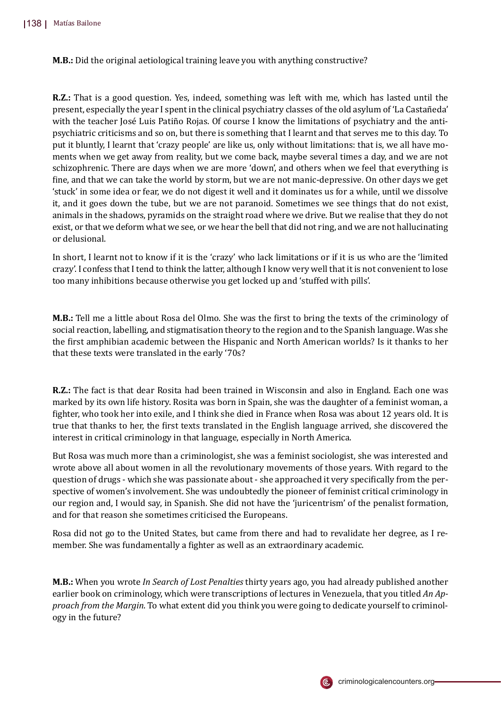**M.B.:** Did the original aetiological training leave you with anything constructive?

**R.Z.:** That is a good question. Yes, indeed, something was left with me, which has lasted until the present, especially the year I spent in the clinical psychiatry classes of the old asylum of 'La Castañ eda' with the teacher José Luis Patiño Rojas. Of course I know the limitations of psychiatry and the antipsychiatric criticisms and so on, but there is something that I learnt and that serves me to this day. To put it bluntly, I learnt that 'crazy people' are like us, only without limitations: that is, we all have moments when we get away from reality, but we come back, maybe several times a day, and we are not schizophrenic. There are days when we are more 'down', and others when we feel that everything is �ine, and that we can take the world by storm, but we are not manic-depressive. On other days we get 'stuck' in some idea or fear, we do not digest it well and it dominates us for a while, until we dissolve it, and it goes down the tube, but we are not paranoid. Sometimes we see things that do not exist, animals in the shadows, pyramids on the straight road where we drive. But we realise that they do not exist, or that we deform what we see, or we hear the bell that did not ring, and we are not hallucinating or delusional.

In short, I learnt not to know if it is the 'crazy' who lack limitations or if it is us who are the 'limited crazy'. I confess that I tend to think the latter, although I know very well that it is not convenient to lose too many inhibitions because otherwise you get locked up and 'stuffed with pills'.

**M.B.:** Tell me a little about Rosa del Olmo. She was the first to bring the texts of the criminology of social reaction, labelling, and stigmatisation theory to the region and to the Spanish language. Was she the �irst amphibian academic between the Hispanic and North American worlds? Is it thanks to her that these texts were translated in the early '70s?

**R.Z.:** The fact is that dear Rosita had been trained in Wisconsin and also in England. Each one was marked by its own life history. Rosita was born in Spain, she was the daughter of a feminist woman, a �ighter, who took her into exile, and I think she died in France when Rosa was about 12 years old. It is true that thanks to her, the �irst texts translated in the English language arrived, she discovered the interest in critical criminology in that language, especially in North America.

But Rosa was much more than a criminologist, she was a feminist sociologist, she was interested and wrote above all about women in all the revolutionary movements of those years. With regard to the question of drugs - which she was passionate about - she approached it very speci�ically from the perspective of women's involvement. She was undoubtedly the pioneer of feminist critical criminology in our region and, I would say, in Spanish. She did not have the 'juricentrism' of the penalist formation, and for that reason she sometimes criticised the Europeans.

Rosa did not go to the United States, but came from there and had to revalidate her degree, as I remember. She was fundamentally a fighter as well as an extraordinary academic.

**M.B.:** When you wrote *In Search of Lost Penalties* thirty years ago, you had already published another earlier book on criminology, which were transcriptions of lectures in Venezuela, that you titled *An Approach from the Margin*. To what extent did you think you were going to dedicate yourself to criminology in the future?

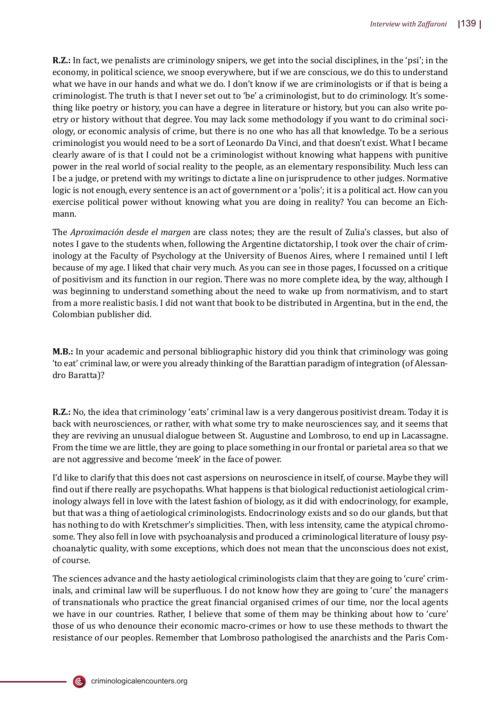**R.Z.:** In fact, we penalists are criminology snipers, we get into the social disciplines, in the 'psi'; in the economy, in political science, we snoop everywhere, but if we are conscious, we do this to understand what we have in our hands and what we do. I don't know if we are criminologists or if that is being a criminologist. The truth is that I never set out to 'be' a criminologist, but to do criminology. It's something like poetry or history, you can have a degree in literature or history, but you can also write poetry or history without that degree. You may lack some methodology if you want to do criminal sociology, or economic analysis of crime, but there is no one who has all that knowledge. To be a serious criminologist you would need to be a sort of Leonardo Da Vinci, and that doesn't exist. What I became clearly aware of is that I could not be a criminologist without knowing what happens with punitive power in the real world of social reality to the people, as an elementary responsibility. Much less can I be a judge, or pretend with my writings to dictate a line on jurisprudence to other judges. Normative logic is not enough, every sentence is an act of government or a 'polis'; it is a political act. How can you exercise political power without knowing what you are doing in reality? You can become an Eichmann.

The *Aproximación desde el margen* are class notes; they are the result of Zulia's classes, but also of notes I gave to the students when, following the Argentine dictatorship, I took over the chair of criminology at the Faculty of Psychology at the University of Buenos Aires, where I remained until I left because of my age. I liked that chair very much. As you can see in those pages, I focussed on a critique of positivism and its function in our region. There was no more complete idea, by the way, although I was beginning to understand something about the need to wake up from normativism, and to start from a more realistic basis. I did not want that book to be distributed in Argentina, but in the end, the Colombian publisher did.

**M.B.:** In your academic and personal bibliographic history did you think that criminology was going 'to eat' criminal law, or were you already thinking of the Barattian paradigm of integration (of Alessandro Baratta)?

**R.Z.:** No, the idea that criminology 'eats' criminal law is a very dangerous positivist dream. Today it is back with neurosciences, or rather, with what some try to make neurosciences say, and it seems that they are reviving an unusual dialogue between St. Augustine and Lombroso, to end up in Lacassagne. From the time we are little, they are going to place something in our frontal or parietal area so that we are not aggressive and become 'meek' in the face of power.

I'd like to clarify that this does not cast aspersions on neuroscience in itself, of course. Maybe they will find out if there really are psychopaths. What happens is that biological reductionist aetiological criminology always fell in love with the latest fashion of biology, as it did with endocrinology, for example, but that was a thing of aetiological criminologists. Endocrinology exists and so do our glands, but that has nothing to do with Kretschmer's simplicities. Then, with less intensity, came the atypical chromosome. They also fell in love with psychoanalysis and produced a criminological literature of lousy psychoanalytic quality, with some exceptions, which does not mean that the unconscious does not exist, of course.

The sciences advance and the hasty aetiological criminologists claim that they are going to 'cure' criminals, and criminal law will be superfluous. I do not know how they are going to 'cure' the managers of transnationals who practice the great �inancial organised crimes of our time, nor the local agents we have in our countries. Rather, I believe that some of them may be thinking about how to 'cure' those of us who denounce their economic macro-crimes or how to use these methods to thwart the resistance of our peoples. Remember that Lombroso pathologised the anarchists and the Paris Com-

(ē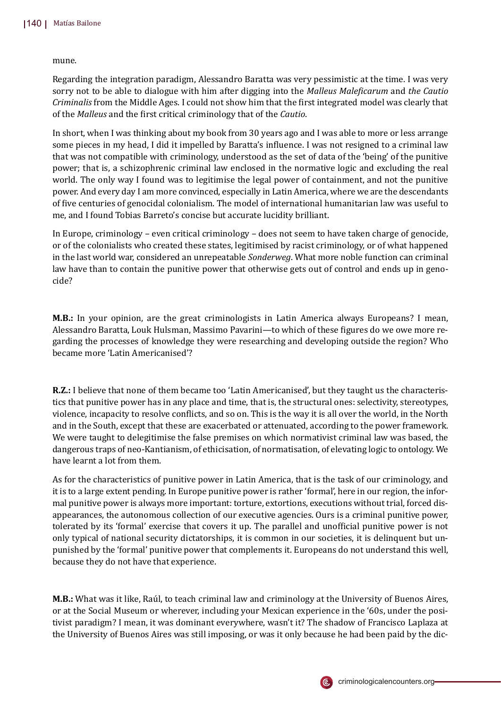mune.

Regarding the integration paradigm, Alessandro Baratta was very pessimistic at the time. I was very sorry not to be able to dialogue with him after digging into the *Malleus Male�icarum* and *the Cautio Criminalis* from the Middle Ages. I could not show him that the �irst integrated model was clearly that of the *Malleus* and the �irst critical criminology that of the *Cautio*.

In short, when I was thinking about my book from 30 years ago and I was able to more or less arrange some pieces in my head, I did it impelled by Baratta's influence. I was not resigned to a criminal law that was not compatible with criminology, understood as the set of data of the 'being' of the punitive power; that is, a schizophrenic criminal law enclosed in the normative logic and excluding the real world. The only way I found was to legitimise the legal power of containment, and not the punitive power. And every day I am more convinced, especially in Latin America, where we are the descendants of �ive centuries of genocidal colonialism. The model of international humanitarian law was useful to me, and I found Tobias Barreto's concise but accurate lucidity brilliant.

In Europe, criminology – even critical criminology – does not seem to have taken charge of genocide, or of the colonialists who created these states, legitimised by racist criminology, or of what happened in the last world war, considered an unrepeatable *Sonderweg*. What more noble function can criminal law have than to contain the punitive power that otherwise gets out of control and ends up in genocide?

**M.B.:** In your opinion, are the great criminologists in Latin America always Europeans? I mean, Alessandro Baratta, Louk Hulsman, Massimo Pavarini—to which of these �igures do we owe more regarding the processes of knowledge they were researching and developing outside the region? Who became more 'Latin Americanised'?

**R.Z.:** I believe that none of them became too 'Latin Americanised', but they taught us the characteristics that punitive power has in any place and time, that is, the structural ones: selectivity, stereotypes, violence, incapacity to resolve con�licts, and so on. This is the way it is all over the world, in the North and in the South, except that these are exacerbated or attenuated, according to the power framework. We were taught to delegitimise the false premises on which normativist criminal law was based, the dangerous traps of neo-Kantianism, of ethicisation, of normatisation, of elevating logic to ontology. We have learnt a lot from them.

As for the characteristics of punitive power in Latin America, that is the task of our criminology, and it is to a large extent pending. In Europe punitive power is rather 'formal', here in our region, the informal punitive power is always more important: torture, extortions, executions without trial, forced disappearances, the autonomous collection of our executive agencies. Ours is a criminal punitive power, tolerated by its 'formal' exercise that covers it up. The parallel and unof�icial punitive power is not only typical of national security dictatorships, it is common in our societies, it is delinquent but unpunished by the 'formal' punitive power that complements it. Europeans do not understand this well, because they do not have that experience.

**M.B.:** What was it like, Raúl, to teach criminal law and criminology at the University of Buenos Aires, or at the Social Museum or wherever, including your Mexican experience in the '60s, under the positivist paradigm? I mean, it was dominant everywhere, wasn't it? The shadow of Francisco Laplaza at the University of Buenos Aires was still imposing, or was it only because he had been paid by the dic-

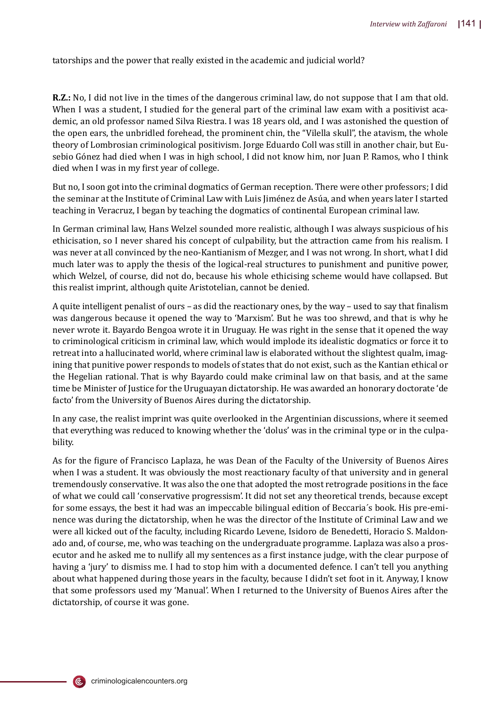tatorships and the power that really existed in the academic and judicial world?

**R.Z.:** No, I did not live in the times of the dangerous criminal law, do not suppose that I am that old. When I was a student, I studied for the general part of the criminal law exam with a positivist academic, an old professor named Silva Riestra. I was 18 years old, and I was astonished the question of the open ears, the unbridled forehead, the prominent chin, the "Vilella skull", the atavism, the whole theory of Lombrosian criminological positivism. Jorge Eduardo Coll was still in another chair, but Eusebio Gónez had died when I was in high school, I did not know him, nor Juan P. Ramos, who I think died when I was in my �irst year of college.

But no, I soon got into the criminal dogmatics of German reception. There were other professors; I did the seminar at the Institute of Criminal Law with Luis Jiménez de Asúa, and when years later I started teaching in Veracruz, I began by teaching the dogmatics of continental European criminal law.

In German criminal law, Hans Welzel sounded more realistic, although I was always suspicious of his ethicisation, so I never shared his concept of culpability, but the attraction came from his realism. I was never at all convinced by the neo-Kantianism of Mezger, and I was not wrong. In short, what I did much later was to apply the thesis of the logical-real structures to punishment and punitive power, which Welzel, of course, did not do, because his whole ethicising scheme would have collapsed. But this realist imprint, although quite Aristotelian, cannot be denied.

A quite intelligent penalist of ours – as did the reactionary ones, by the way – used to say that �inalism was dangerous because it opened the way to 'Marxism'. But he was too shrewd, and that is why he never wrote it. Bayardo Bengoa wrote it in Uruguay. He was right in the sense that it opened the way to criminological criticism in criminal law, which would implode its idealistic dogmatics or force it to retreat into a hallucinated world, where criminal law is elaborated without the slightest qualm, imagining that punitive power responds to models of states that do not exist, such as the Kantian ethical or the Hegelian rational. That is why Bayardo could make criminal law on that basis, and at the same time be Minister of Justice for the Uruguayan dictatorship. He was awarded an honorary doctorate 'de facto' from the University of Buenos Aires during the dictatorship.

In any case, the realist imprint was quite overlooked in the Argentinian discussions, where it seemed that everything was reduced to knowing whether the 'dolus' was in the criminal type or in the culpability.

As for the �igure of Francisco Laplaza, he was Dean of the Faculty of the University of Buenos Aires when I was a student. It was obviously the most reactionary faculty of that university and in general tremendously conservative. It was also the one that adopted the most retrograde positions in the face of what we could call 'conservative progressism'. It did not set any theoretical trends, because except for some essays, the best it had was an impeccable bilingual edition of Beccaria´s book. His pre-eminence was during the dictatorship, when he was the director of the Institute of Criminal Law and we were all kicked out of the faculty, including Ricardo Levene, Isidoro de Benedetti, Horacio S. Maldonado and, of course, me, who was teaching on the undergraduate programme. Laplaza was also a prosecutor and he asked me to nullify all my sentences as a �irst instance judge, with the clear purpose of having a 'jury' to dismiss me. I had to stop him with a documented defence. I can't tell you anything about what happened during those years in the faculty, because I didn't set foot in it. Anyway, I know that some professors used my 'Manual'. When I returned to the University of Buenos Aires after the dictatorship, of course it was gone.

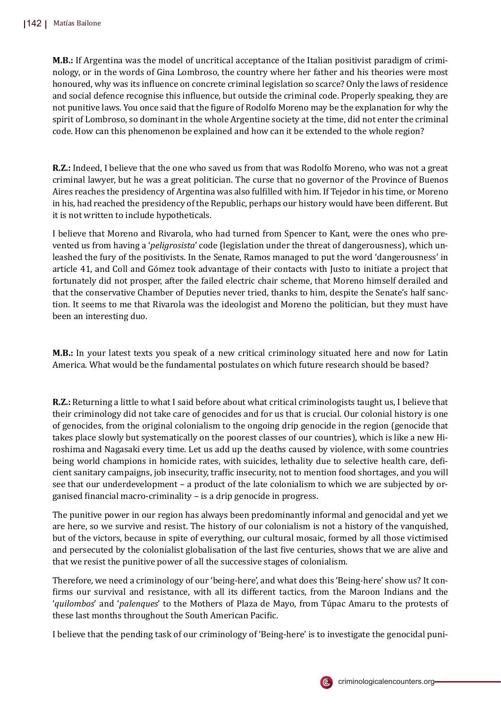**M.B.:** If Argentina was the model of uncritical acceptance of the Italian positivist paradigm of criminology, or in the words of Gina Lombroso, the country where her father and his theories were most honoured, why was its influence on concrete criminal legislation so scarce? Only the laws of residence and social defence recognise this influence, but outside the criminal code. Properly speaking, they are not punitive laws. You once said that the figure of Rodolfo Moreno may be the explanation for why the spirit of Lombroso, so dominant in the whole Argentine society at the time, did not enter the criminal code. How can this phenomenon be explained and how can it be extended to the whole region?

**R.Z.:** Indeed, I believe that the one who saved us from that was Rodolfo Moreno, who was not a great criminal lawyer, but he was a great politician. The curse that no governor of the Province of Buenos Aires reaches the presidency of Argentina was also fulfilled with him. If Tejedor in his time, or Moreno in his, had reached the presidency of the Republic, perhaps our history would have been different. But it is not written to include hypotheticals.

I believe that Moreno and Rivarola, who had turned from Spencer to Kant, were the ones who prevented us from having a '*peligrosista*' code (legislation under the threat of dangerousness), which unleashed the fury of the positivists. In the Senate, Ramos managed to put the word 'dangerousness' in article 41, and Coll and Gómez took advantage of their contacts with Justo to initiate a project that fortunately did not prosper, after the failed electric chair scheme, that Moreno himself derailed and that the conservative Chamber of Deputies never tried, thanks to him, despite the Senate's half sanction. It seems to me that Rivarola was the ideologist and Moreno the politician, but they must have been an interesting duo.

**M.B.:** In your latest texts you speak of a new critical criminology situated here and now for Latin America. What would be the fundamental postulates on which future research should be based?

**R.Z.:** Returning a little to what I said before about what critical criminologists taught us, I believe that their criminology did not take care of genocides and for us that is crucial. Our colonial history is one of genocides, from the original colonialism to the ongoing drip genocide in the region (genocide that takes place slowly but systematically on the poorest classes of our countries), which is like a new Hiroshima and Nagasaki every time. Let us add up the deaths caused by violence, with some countries being world champions in homicide rates, with suicides, lethality due to selective health care, deficient sanitary campaigns, job insecurity, traf�ic insecurity, not to mention food shortages, and you will see that our underdevelopment – a product of the late colonialism to which we are subjected by organised �inancial macro-criminality – is a drip genocide in progress.

The punitive power in our region has always been predominantly informal and genocidal and yet we are here, so we survive and resist. The history of our colonialism is not a history of the vanquished, but of the victors, because in spite of everything, our cultural mosaic, formed by all those victimised and persecuted by the colonialist globalisation of the last five centuries, shows that we are alive and that we resist the punitive power of all the successive stages of colonialism.

Therefore, we need a criminology of our 'being-here', and what does this 'Being-here' show us? It con- �irms our survival and resistance, with all its different tactics, from the Maroon Indians and the '*quilombos*' and '*palenques*' to the Mothers of Plaza de Mayo, from Tú pac Amaru to the protests of these last months throughout the South American Pacific.

I believe that the pending task of our criminology of 'Being-here' is to investigate the genocidal puni-

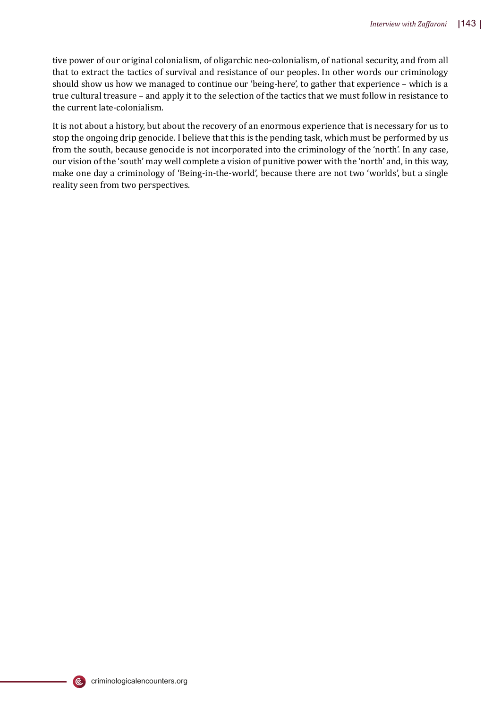tive power of our original colonialism, of oligarchic neo-colonialism, of national security, and from all that to extract the tactics of survival and resistance of our peoples. In other words our criminology should show us how we managed to continue our 'being-here', to gather that experience – which is a true cultural treasure – and apply it to the selection of the tactics that we must follow in resistance to the current late-colonialism.

It is not about a history, but about the recovery of an enormous experience that is necessary for us to stop the ongoing drip genocide. I believe that this is the pending task, which must be performed by us from the south, because genocide is not incorporated into the criminology of the 'north'. In any case, our vision of the 'south' may well complete a vision of punitive power with the 'north' and, in this way, make one day a criminology of 'Being-in-the-world', because there are not two 'worlds', but a single reality seen from two perspectives.